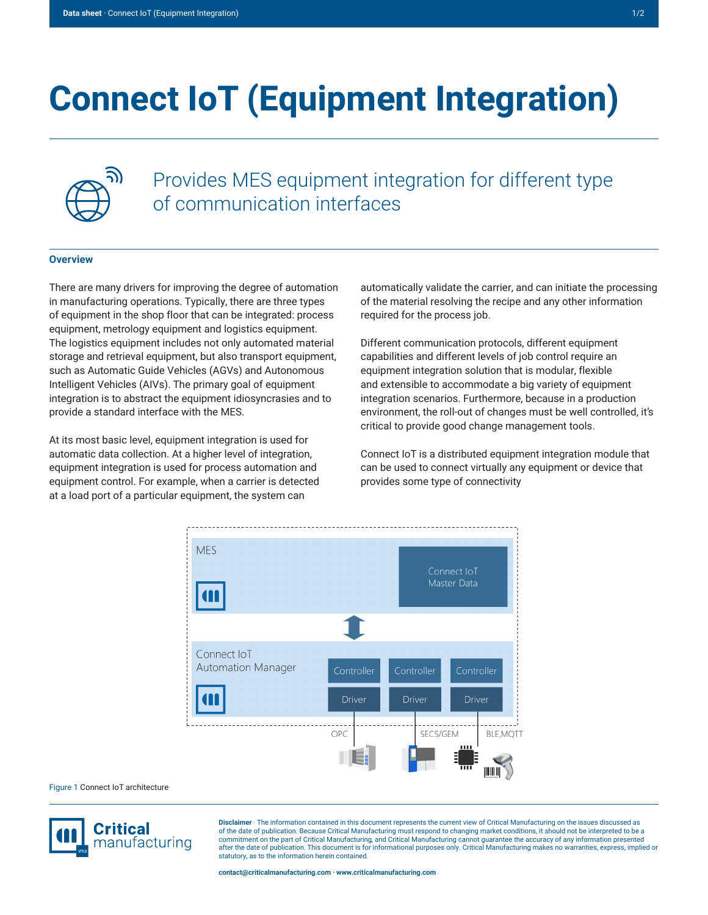## **Connect IoT (Equipment Integration)**



Provides MES equipment integration for different type of communication interfaces

## **Overview**

There are many drivers for improving the degree of automation in manufacturing operations. Typically, there are three types of equipment in the shop floor that can be integrated: process equipment, metrology equipment and logistics equipment. The logistics equipment includes not only automated material storage and retrieval equipment, but also transport equipment, such as Automatic Guide Vehicles (AGVs) and Autonomous Intelligent Vehicles (AIVs). The primary goal of equipment integration is to abstract the equipment idiosyncrasies and to provide a standard interface with the MES.

At its most basic level, equipment integration is used for automatic data collection. At a higher level of integration, equipment integration is used for process automation and equipment control. For example, when a carrier is detected at a load port of a particular equipment, the system can

automatically validate the carrier, and can initiate the processing of the material resolving the recipe and any other information required for the process job.

Different communication protocols, different equipment capabilities and different levels of job control require an equipment integration solution that is modular, flexible and extensible to accommodate a big variety of equipment integration scenarios. Furthermore, because in a production environment, the roll-out of changes must be well controlled, it's critical to provide good change management tools.

Connect IoT is a distributed equipment integration module that can be used to connect virtually any equipment or device that provides some type of connectivity



Figure 1 Connect IoT architecture



**Disclaimer** · The information contained in this document represents the current view of Critical Manufacturing on the issues discussed as of the date of publication. Because Critical Manufacturing must respond to changing market conditions, it should not be interpreted to be a commitment on the part of Critical Manufacturing, and Critical Manufacturing cannot guarantee the accuracy of any information presented after the date of publication. This document is for informational purposes only. Critical Manufacturing makes no warranties, express, implied or statutory, as to the information herein contained.